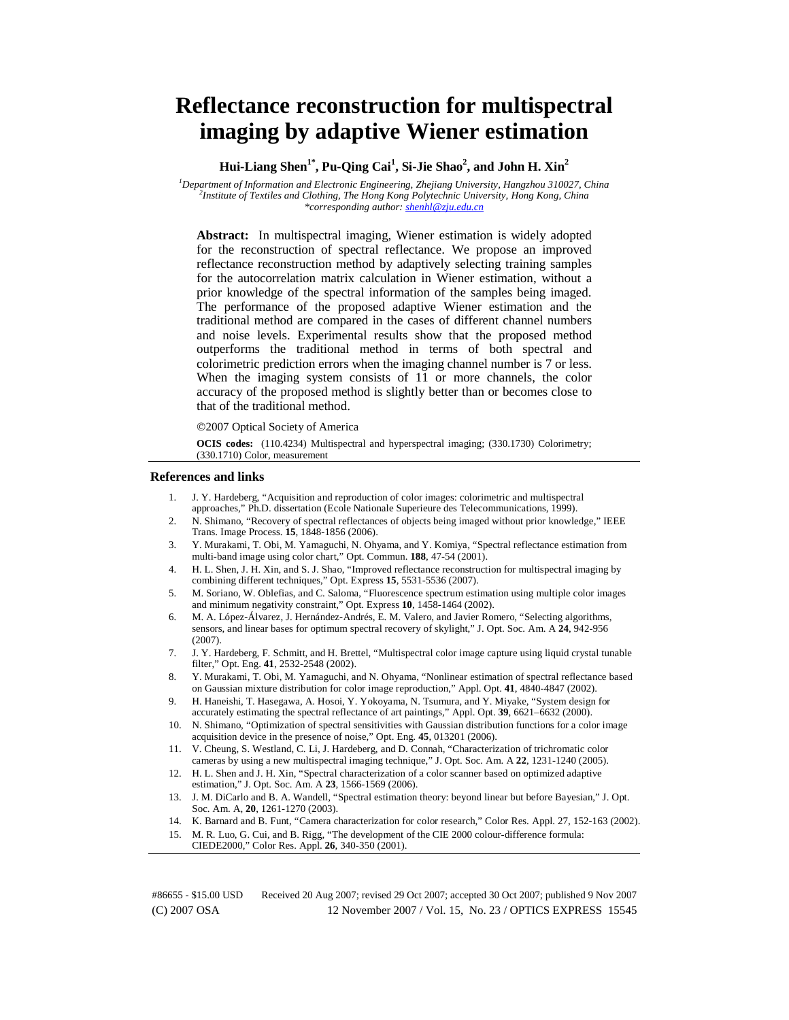# **Reflectance reconstruction for multispectral imaging by adaptive Wiener estimation**

**Hui-Liang Shen1\*, Pu-Qing Cai1 , Si-Jie Shao2 , and John H. Xin2** 

<sup>1</sup> Department of Information and Electronic Engineering, Zhejiang University, Hangzhou 310027, China <sup>2</sup><br><sup>2</sup> Institute of Textiles and Clothing. The Hong Kong Polytechnic University, Hong Kong, China *Institute of Textiles and Clothing, The Hong Kong Polytechnic University, Hong Kong, China \*corresponding author: shenhl@zju.edu.cn*

**Abstract:** In multispectral imaging, Wiener estimation is widely adopted for the reconstruction of spectral reflectance. We propose an improved reflectance reconstruction method by adaptively selecting training samples for the autocorrelation matrix calculation in Wiener estimation, without a prior knowledge of the spectral information of the samples being imaged. The performance of the proposed adaptive Wiener estimation and the traditional method are compared in the cases of different channel numbers and noise levels. Experimental results show that the proposed method outperforms the traditional method in terms of both spectral and colorimetric prediction errors when the imaging channel number is 7 or less. When the imaging system consists of 11 or more channels, the color accuracy of the proposed method is slightly better than or becomes close to that of the traditional method.

©2007 Optical Society of America

**OCIS codes:** (110.4234) Multispectral and hyperspectral imaging; (330.1730) Colorimetry; (330.1710) Color, measurement

#### **References and links**

- 1. J. Y. Hardeberg, "Acquisition and reproduction of color images: colorimetric and multispectral approaches," Ph.D. dissertation (Ecole Nationale Superieure des Telecommunications, 1999).
- 2. N. Shimano, "Recovery of spectral reflectances of objects being imaged without prior knowledge," IEEE Trans. Image Process. **15**, 1848-1856 (2006).
- 3. Y. Murakami, T. Obi, M. Yamaguchi, N. Ohyama, and Y. Komiya, "Spectral reflectance estimation from multi-band image using color chart," Opt. Commun. **188**, 47-54 (2001).
- 4. H. L. Shen, J. H. Xin, and S. J. Shao, "Improved reflectance reconstruction for multispectral imaging by combining different techniques," Opt. Express **15**, 5531-5536 (2007).
- 5. M. Soriano, W. Oblefias, and C. Saloma, "Fluorescence spectrum estimation using multiple color images and minimum negativity constraint," Opt. Express **10**, 1458-1464 (2002).
- 6. M. A. López-Álvarez, J. Hernández-Andrés, E. M. Valero, and Javier Romero, "Selecting algorithms, sensors, and linear bases for optimum spectral recovery of skylight," J. Opt. Soc. Am. A **24**, 942-956 (2007).
- 7. J. Y. Hardeberg, F. Schmitt, and H. Brettel, "Multispectral color image capture using liquid crystal tunable filter," Opt. Eng. **41**, 2532-2548 (2002).
- 8. Y. Murakami, T. Obi, M. Yamaguchi, and N. Ohyama, "Nonlinear estimation of spectral reflectance based on Gaussian mixture distribution for color image reproduction," Appl. Opt. **41**, 4840-4847 (2002).
- 9. H. Haneishi, T. Hasegawa, A. Hosoi, Y. Yokoyama, N. Tsumura, and Y. Miyake, "System design for accurately estimating the spectral reflectance of art paintings," Appl. Opt. **39**, 6621–6632 (2000).
- 10. N. Shimano, "Optimization of spectral sensitivities with Gaussian distribution functions for a color image acquisition device in the presence of noise," Opt. Eng. **45**, 013201 (2006).
- 11. V. Cheung, S. Westland, C. Li, J. Hardeberg, and D. Connah, "Characterization of trichromatic color cameras by using a new multispectral imaging technique," J. Opt. Soc. Am. A **22**, 1231-1240 (2005).
- 12. H. L. Shen and J. H. Xin, "Spectral characterization of a color scanner based on optimized adaptive estimation," J. Opt. Soc. Am. A **23**, 1566-1569 (2006).
- 13. J. M. DiCarlo and B. A. Wandell, "Spectral estimation theory: beyond linear but before Bayesian," J. Opt. Soc. Am. A, **20**, 1261-1270 (2003).
- 14. K. Barnard and B. Funt, "Camera characterization for color research," Color Res. Appl. 27, 152-163 (2002).
- 15. M. R. Luo, G. Cui, and B. Rigg, "The development of the CIE 2000 colour-difference formula: CIEDE2000," Color Res. Appl. **26**, 340-350 (2001).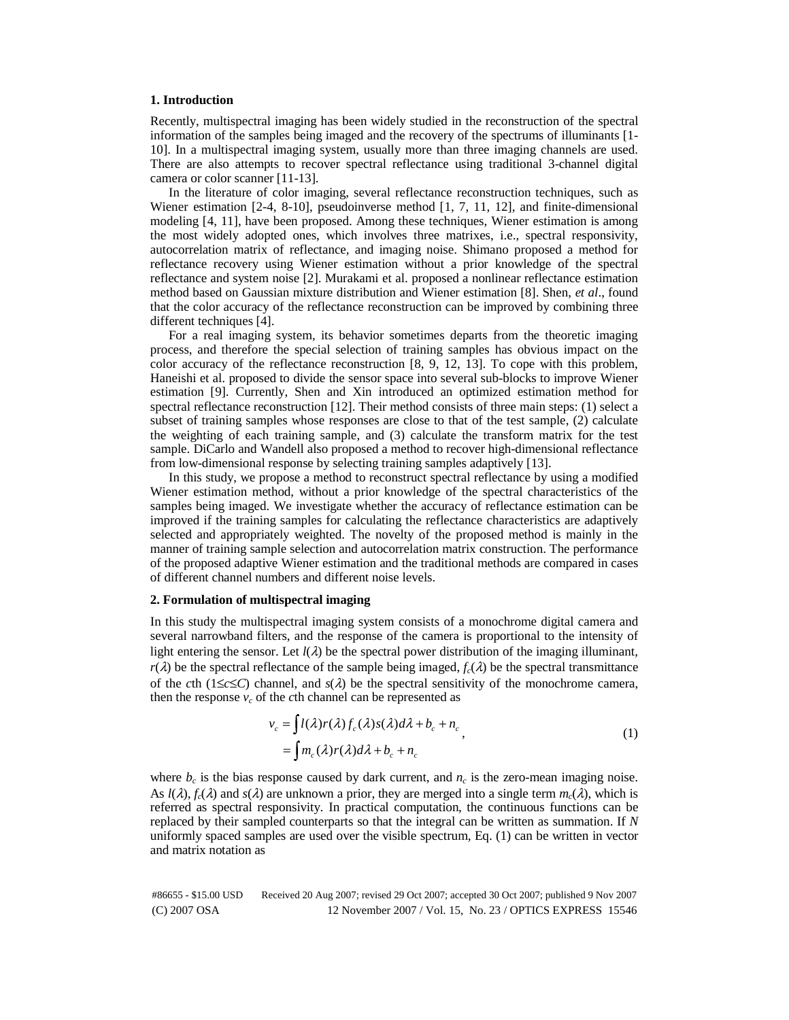#### **1. Introduction**

Recently, multispectral imaging has been widely studied in the reconstruction of the spectral information of the samples being imaged and the recovery of the spectrums of illuminants [1- 10]. In a multispectral imaging system, usually more than three imaging channels are used. There are also attempts to recover spectral reflectance using traditional 3-channel digital camera or color scanner [11-13].

In the literature of color imaging, several reflectance reconstruction techniques, such as Wiener estimation [2-4, 8-10], pseudoinverse method [1, 7, 11, 12], and finite-dimensional modeling [4, 11], have been proposed. Among these techniques, Wiener estimation is among the most widely adopted ones, which involves three matrixes, i.e., spectral responsivity, autocorrelation matrix of reflectance, and imaging noise. Shimano proposed a method for reflectance recovery using Wiener estimation without a prior knowledge of the spectral reflectance and system noise [2]. Murakami et al. proposed a nonlinear reflectance estimation method based on Gaussian mixture distribution and Wiener estimation [8]. Shen, *et al*., found that the color accuracy of the reflectance reconstruction can be improved by combining three different techniques [4].

For a real imaging system, its behavior sometimes departs from the theoretic imaging process, and therefore the special selection of training samples has obvious impact on the color accuracy of the reflectance reconstruction [8, 9, 12, 13]. To cope with this problem, Haneishi et al. proposed to divide the sensor space into several sub-blocks to improve Wiener estimation [9]. Currently, Shen and Xin introduced an optimized estimation method for spectral reflectance reconstruction [12]. Their method consists of three main steps: (1) select a subset of training samples whose responses are close to that of the test sample, (2) calculate the weighting of each training sample, and (3) calculate the transform matrix for the test sample. DiCarlo and Wandell also proposed a method to recover high-dimensional reflectance from low-dimensional response by selecting training samples adaptively [13].

In this study, we propose a method to reconstruct spectral reflectance by using a modified Wiener estimation method, without a prior knowledge of the spectral characteristics of the samples being imaged. We investigate whether the accuracy of reflectance estimation can be improved if the training samples for calculating the reflectance characteristics are adaptively selected and appropriately weighted. The novelty of the proposed method is mainly in the manner of training sample selection and autocorrelation matrix construction. The performance of the proposed adaptive Wiener estimation and the traditional methods are compared in cases of different channel numbers and different noise levels.

# **2. Formulation of multispectral imaging**

In this study the multispectral imaging system consists of a monochrome digital camera and several narrowband filters, and the response of the camera is proportional to the intensity of light entering the sensor. Let  $l(\lambda)$  be the spectral power distribution of the imaging illuminant, *r*( $\lambda$ ) be the spectral reflectance of the sample being imaged,  $f_c(\lambda)$  be the spectral transmittance of the *c*th (1≤*c*≤*C*) channel, and  $s(\lambda)$  be the spectral sensitivity of the monochrome camera, then the response  $v_c$  of the *c*th channel can be represented as

$$
v_c = \int l(\lambda)r(\lambda)f_c(\lambda)s(\lambda)d\lambda + b_c + n_c
$$
  
= 
$$
\int m_c(\lambda)r(\lambda)d\lambda + b_c + n_c
$$
 (1)

where  $b_c$  is the bias response caused by dark current, and  $n_c$  is the zero-mean imaging noise. As  $l(\lambda)$ ,  $f_c(\lambda)$  and  $s(\lambda)$  are unknown a prior, they are merged into a single term  $m_c(\lambda)$ , which is referred as spectral responsivity. In practical computation, the continuous functions can be replaced by their sampled counterparts so that the integral can be written as summation. If *N* uniformly spaced samples are used over the visible spectrum, Eq. (1) can be written in vector and matrix notation as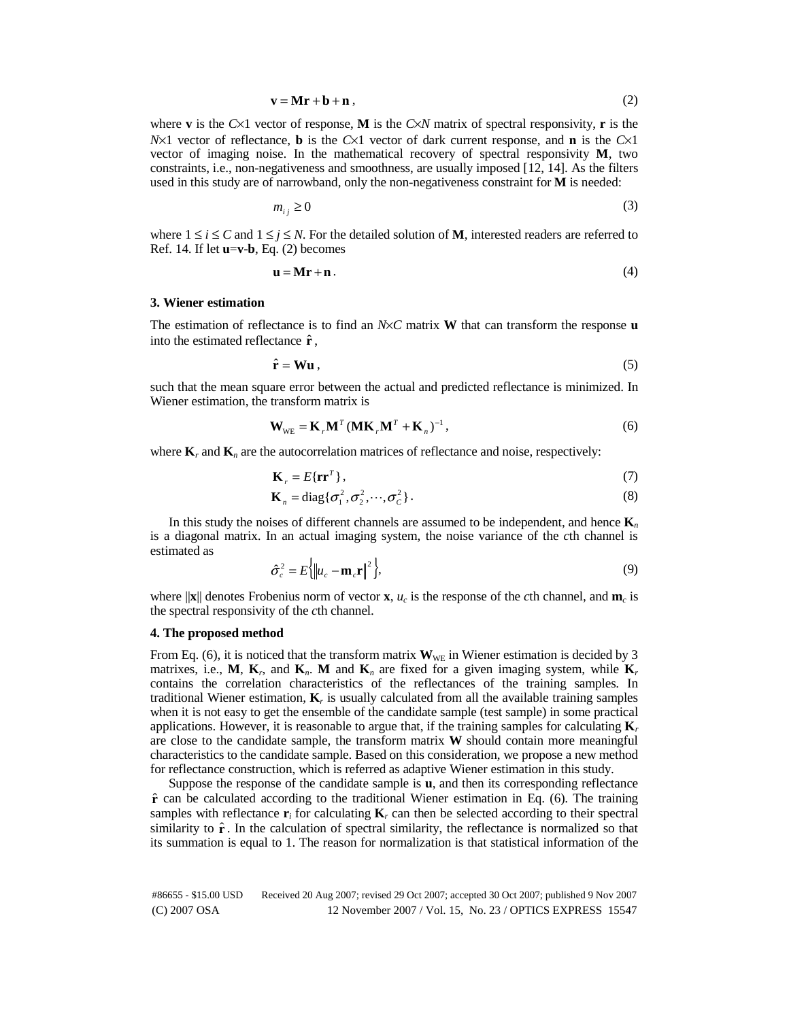$$
\mathbf{v} = \mathbf{M}\mathbf{r} + \mathbf{b} + \mathbf{n} \tag{2}
$$

where **v** is the  $C \times 1$  vector of response, **M** is the  $C \times N$  matrix of spectral responsivity, **r** is the *N*×1 vector of reflectance, **b** is the *C*×1 vector of dark current response, and **n** is the *C*×1 vector of imaging noise. In the mathematical recovery of spectral responsivity **M**, two constraints, i.e., non-negativeness and smoothness, are usually imposed [12, 14]. As the filters used in this study are of narrowband, only the non-negativeness constraint for **M** is needed:

$$
m_{ij} \ge 0 \tag{3}
$$

where  $1 \le i \le C$  and  $1 \le j \le N$ . For the detailed solution of **M**, interested readers are referred to Ref. 14. If let **u**=**v**-**b**, Eq. (2) becomes

$$
\mathbf{u} = \mathbf{M}\mathbf{r} + \mathbf{n} \,. \tag{4}
$$

# **3. Wiener estimation**

The estimation of reflectance is to find an *N*×*C* matrix **W** that can transform the response **u** into the estimated reflectance **r**ˆ ,

$$
\hat{\mathbf{r}} = \mathbf{W}\mathbf{u} \,,\tag{5}
$$

such that the mean square error between the actual and predicted reflectance is minimized. In Wiener estimation, the transform matrix is

$$
\mathbf{W}_{\text{WE}} = \mathbf{K}_{r} \mathbf{M}^{T} (\mathbf{M} \mathbf{K}_{r} \mathbf{M}^{T} + \mathbf{K}_{n})^{-1},
$$
\n(6)

where  $\mathbf{K}_r$  and  $\mathbf{K}_n$  are the autocorrelation matrices of reflectance and noise, respectively:

$$
\mathbf{K}_r = E\{\mathbf{r}\mathbf{r}^T\},\tag{7}
$$

$$
\mathbf{K}_n = \text{diag}\{\sigma_1^2, \sigma_2^2, \cdots, \sigma_C^2\}.
$$
\n(8)

 $\cdots$ ,  $\sigma_c^2$  }. (8)<br>annels are assumed to be independent, and hence **K**<sub>n</sub><br>g system, the noise variance of the *c*th channel is In this study the noises of different channels are assumed to be independent, and hence **K***<sup>n</sup>* is a diagonal matrix. In an actual imaging system, the noise variance of the *c*th channel is estimated as

$$
\hat{\sigma}_c^2 = E\left\{ \left\| u_c - \mathbf{m}_c \mathbf{r} \right\|^2 \right\},\tag{9}
$$

where  $\|\mathbf{x}\|$  denotes Frobenius norm of vector **x**,  $u_c$  is the response of the *c*th channel, and **m**<sub>*c*</sub> is the spectral responsivity of the *c*th channel.

# **4. The proposed method**

From Eq. (6), it is noticed that the transform matrix  $\mathbf{W}_{\text{WE}}$  in Wiener estimation is decided by 3 matrixes, i.e., **M**, **K**<sub>*r*</sub>, and **K**<sub>*n*</sub>. **M** and **K**<sub>*n*</sub> are fixed for a given imaging system, while **K**<sub>*r*</sub> contains the correlation characteristics of the reflectances of the training samples. In traditional Wiener estimation, **K***r* is usually calculated from all the available training samples when it is not easy to get the ensemble of the candidate sample (test sample) in some practical applications. However, it is reasonable to argue that, if the training samples for calculating  $\mathbf{K}_r$ are close to the candidate sample, the transform matrix **W** should contain more meaningful characteristics to the candidate sample. Based on this consideration, we propose a new method for reflectance construction, which is referred as adaptive Wiener estimation in this study.

Suppose the response of the candidate sample is **u**, and then its corresponding reflectance **r**ˆ can be calculated according to the traditional Wiener estimation in Eq. (6). The training samples with reflectance  $\mathbf{r}_i$  for calculating  $\mathbf{K}_r$  can then be selected according to their spectral similarity to  $\hat{\mathbf{r}}$ . In the calculation of spectral similarity, the reflectance is normalized so that its summation is equal to 1. The reason for normalization is that statistical information of the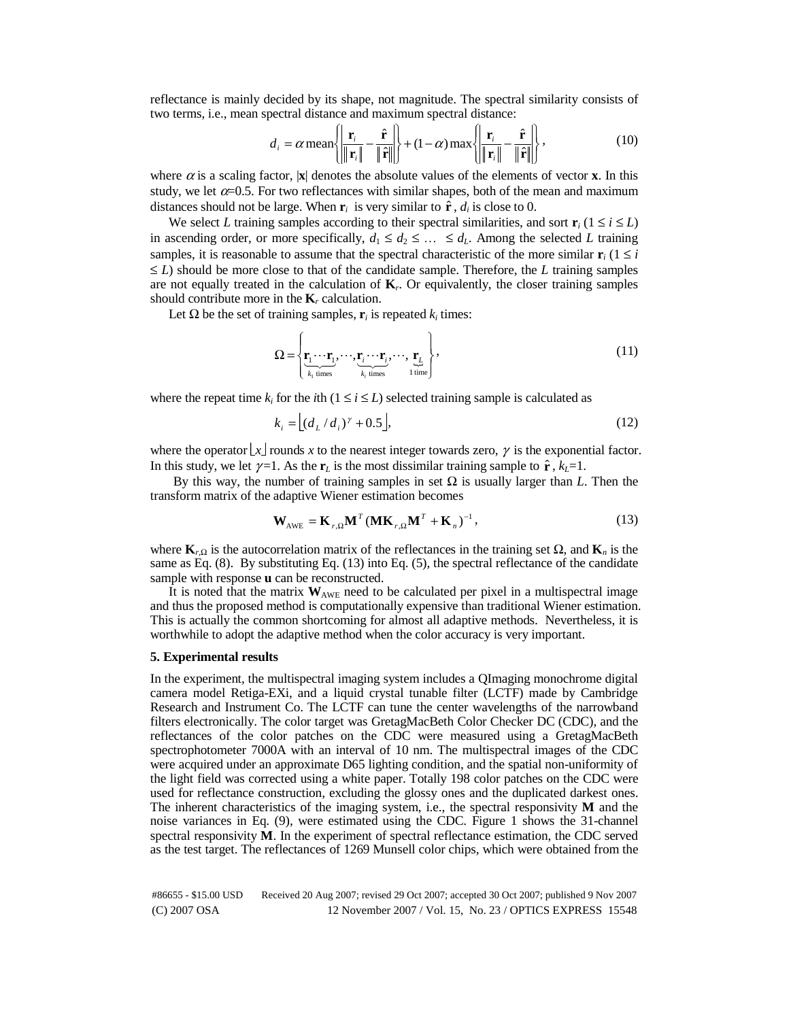reflectance is mainly decided by its shape, not magnitude. The spectral similarity consists of two terms, i.e., mean spectral distance and maximum spectral distance:

$$
d_i = \alpha \text{ mean} \left\{ \left| \frac{\mathbf{r}_i}{\|\mathbf{r}_i\|} - \frac{\hat{\mathbf{r}}}{\|\hat{\mathbf{r}}\|} \right\} + (1 - \alpha) \text{ max} \left\{ \left| \frac{\mathbf{r}_i}{\|\mathbf{r}_i\|} - \frac{\hat{\mathbf{r}}}{\|\hat{\mathbf{r}}\|} \right\} \right\},
$$
(10)

where  $\alpha$  is a scaling factor,  $|\mathbf{x}|$  denotes the absolute values of the elements of vector **x**. In this study, we let  $\alpha$ =0.5. For two reflectances with similar shapes, both of the mean and maximum distances should not be large. When  $\mathbf{r}_i$  is very similar to  $\hat{\mathbf{r}}$ ,  $d_i$  is close to 0.

We select *L* training samples according to their spectral similarities, and sort  $\mathbf{r}_i$  ( $1 \le i \le L$ ) in ascending order, or more specifically,  $d_1 \leq d_2 \leq \ldots \leq d_L$ . Among the selected *L* training samples, it is reasonable to assume that the spectral characteristic of the more similar  $\mathbf{r}_i$  (1  $\leq i$ ≤ *L*) should be more close to that of the candidate sample. Therefore, the *L* training samples are not equally treated in the calculation of  $\mathbf{K}_r$ . Or equivalently, the closer training samples should contribute more in the  $\mathbf{K}_r$  calculation.

Let  $\Omega$  be the set of training samples,  $\mathbf{r}_i$  is repeated  $k_i$  times:

$$
\Omega = \left\{ \underbrace{\mathbf{r}_1 \cdots \mathbf{r}_1}_{k_1 \text{ times}}, \cdots, \underbrace{\mathbf{r}_i \cdots \mathbf{r}_i}_{k_i \text{ times}}, \cdots, \underbrace{\mathbf{r}_L}_{1 \text{ time}} \right\},\tag{11}
$$

where the repeat time  $k_i$  for the *i*th ( $1 \le i \le L$ ) selected training sample is calculated as

$$
k_i = (d_L/d_i)^{\gamma} + 0.5,
$$
\n(12)

where the operator  $\lfloor x \rfloor$  rounds *x* to the nearest integer towards zero,  $\gamma$  is the exponential factor. In this study, we let  $\gamma=1$ . As the **r**<sub>*L*</sub> is the most dissimilar training sample to  $\hat{\mathbf{r}}$ ,  $k_L=1$ .

By this way, the number of training samples in set  $\Omega$  is usually larger than *L*. Then the transform matrix of the adaptive Wiener estimation becomes

$$
\mathbf{W}_{\text{AWE}} = \mathbf{K}_{r,\Omega} \mathbf{M}^T (\mathbf{M} \mathbf{K}_{r,\Omega} \mathbf{M}^T + \mathbf{K}_n)^{-1},
$$
\n(13)

where  $\mathbf{K}_{r,\Omega}$  is the autocorrelation matrix of the reflectances in the training set  $\Omega$ , and  $\mathbf{K}_n$  is the same as Eq. (8). By substituting Eq. (13) into Eq. (5), the spectral reflectance of the candidate sample with response **u** can be reconstructed.

It is noted that the matrix  $W_{AWE}$  need to be calculated per pixel in a multispectral image and thus the proposed method is computationally expensive than traditional Wiener estimation. This is actually the common shortcoming for almost all adaptive methods. Nevertheless, it is worthwhile to adopt the adaptive method when the color accuracy is very important.

## **5. Experimental results**

In the experiment, the multispectral imaging system includes a QImaging monochrome digital camera model Retiga-EXi, and a liquid crystal tunable filter (LCTF) made by Cambridge Research and Instrument Co. The LCTF can tune the center wavelengths of the narrowband filters electronically. The color target was GretagMacBeth Color Checker DC (CDC), and the reflectances of the color patches on the CDC were measured using a GretagMacBeth spectrophotometer 7000A with an interval of 10 nm. The multispectral images of the CDC were acquired under an approximate D65 lighting condition, and the spatial non-uniformity of the light field was corrected using a white paper. Totally 198 color patches on the CDC were used for reflectance construction, excluding the glossy ones and the duplicated darkest ones. The inherent characteristics of the imaging system, i.e., the spectral responsivity **M** and the noise variances in Eq. (9), were estimated using the CDC. Figure 1 shows the 31-channel spectral responsivity **M**. In the experiment of spectral reflectance estimation, the CDC served as the test target. The reflectances of 1269 Munsell color chips, which were obtained from the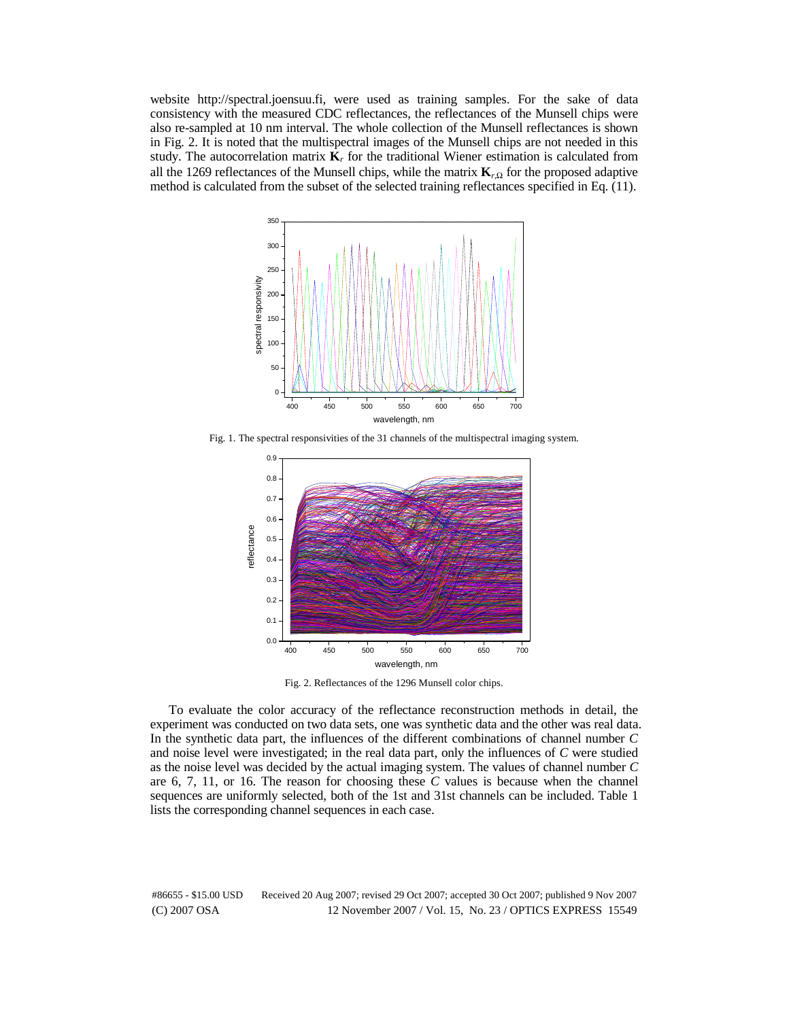website http://spectral.joensuu.fi, were used as training samples. For the sake of data consistency with the measured CDC reflectances, the reflectances of the Munsell chips were also re-sampled at 10 nm interval. The whole collection of the Munsell reflectances is shown in Fig. 2. It is noted that the multispectral images of the Munsell chips are not needed in this study. The autocorrelation matrix  $\mathbf{K}_r$  for the traditional Wiener estimation is calculated from all the 1269 reflectances of the Munsell chips, while the matrix **K***<sup>r</sup>*,Ω for the proposed adaptive method is calculated from the subset of the selected training reflectances specified in Eq. (11).



Fig. 1. The spectral responsivities of the 31 channels of the multispectral imaging system.



Fig. 2. Reflectances of the 1296 Munsell color chips.

To evaluate the color accuracy of the reflectance reconstruction methods in detail, the experiment was conducted on two data sets, one was synthetic data and the other was real data. In the synthetic data part, the influences of the different combinations of channel number *C* and noise level were investigated; in the real data part, only the influences of *C* were studied as the noise level was decided by the actual imaging system. The values of channel number *C* are 6, 7, 11, or 16. The reason for choosing these *C* values is because when the channel sequences are uniformly selected, both of the 1st and 31st channels can be included. Table 1 lists the corresponding channel sequences in each case.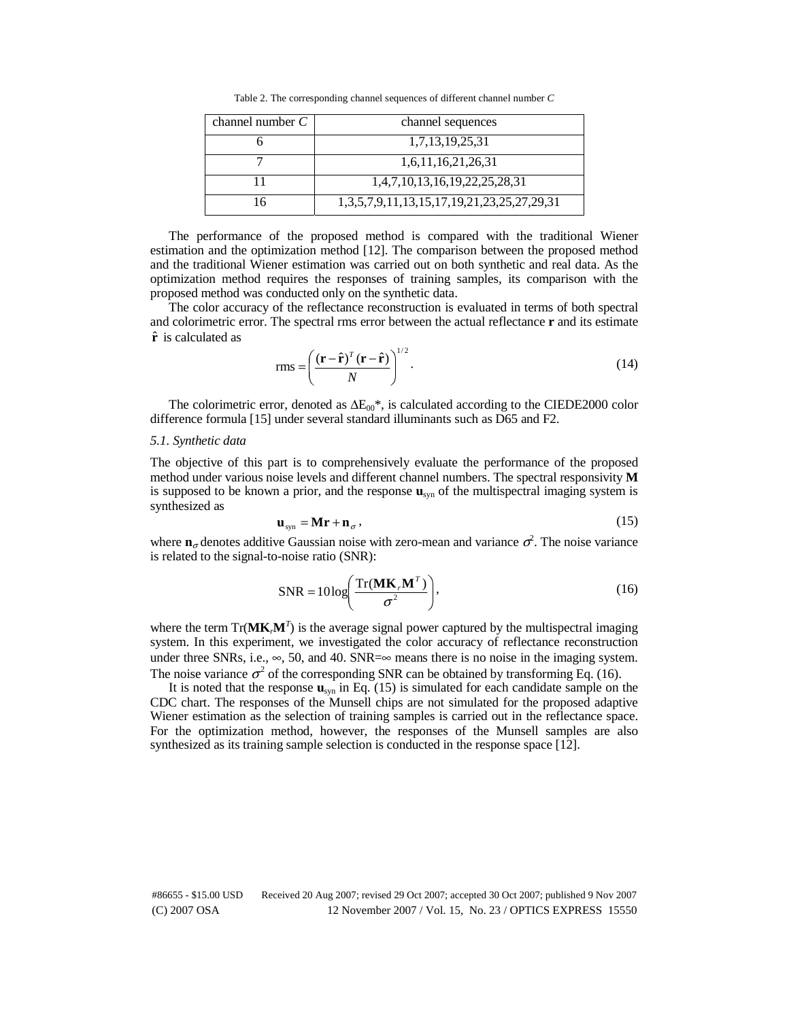Table 2. The corresponding channel sequences of different channel number *C*

| channel number $C$ | channel sequences                                         |
|--------------------|-----------------------------------------------------------|
|                    | 1,7,13,19,25,31                                           |
|                    | 1,6,11,16,21,26,31                                        |
|                    | 1,4,7,10,13,16,19,22,25,28,31                             |
|                    | 1, 3, 5, 7, 9, 11, 13, 15, 17, 19, 21, 23, 25, 27, 29, 31 |

The performance of the proposed method is compared with the traditional Wiener estimation and the optimization method [12]. The comparison between the proposed method and the traditional Wiener estimation was carried out on both synthetic and real data. As the optimization method requires the responses of training samples, its comparison with the proposed method was conducted only on the synthetic data.

The color accuracy of the reflectance reconstruction is evaluated in terms of both spectral and colorimetric error. The spectral rms error between the actual reflectance **r** and its estimate  $\hat{\bf r}$  is calculated as

$$
rms = \left(\frac{(\mathbf{r} - \hat{\mathbf{r}})^T (\mathbf{r} - \hat{\mathbf{r}})}{N}\right)^{1/2}.
$$
 (14)

The colorimetric error, denoted as  $\Delta E_{00}$ <sup>\*</sup>, is calculated according to the CIEDE2000 color difference formula [15] under several standard illuminants such as D65 and F2.

#### *5.1. Synthetic data*

The objective of this part is to comprehensively evaluate the performance of the proposed method under various noise levels and different channel numbers. The spectral responsivity **M** is supposed to be known a prior, and the response **u**syn of the multispectral imaging system is synthesized as

$$
\mathbf{u}_{\text{syn}} = \mathbf{M}\mathbf{r} + \mathbf{n}_{\sigma},\tag{15}
$$

where  $\mathbf{n}_{\sigma}$  denotes additive Gaussian noise with zero-mean and variance  $\sigma^2$ . The noise variance is related to the signal-to-noise ratio (SNR):

$$
SNR = 10 \log \left( \frac{\text{Tr}(\mathbf{M} \mathbf{K}_{r} \mathbf{M}^{T})}{\sigma^{2}} \right),
$$
\n(16)

where the term  $Tr(\mathbf{MK}_r\mathbf{M}^T)$  is the average signal power captured by the multispectral imaging system. In this experiment, we investigated the color accuracy of reflectance reconstruction under three SNRs, i.e.,  $\infty$ , 50, and 40. SNR= $\infty$  means there is no noise in the imaging system. The noise variance  $\sigma^2$  of the corresponding SNR can be obtained by transforming Eq. (16).

It is noted that the response **u**syn in Eq. (15) is simulated for each candidate sample on the CDC chart. The responses of the Munsell chips are not simulated for the proposed adaptive Wiener estimation as the selection of training samples is carried out in the reflectance space. For the optimization method, however, the responses of the Munsell samples are also synthesized as its training sample selection is conducted in the response space [12].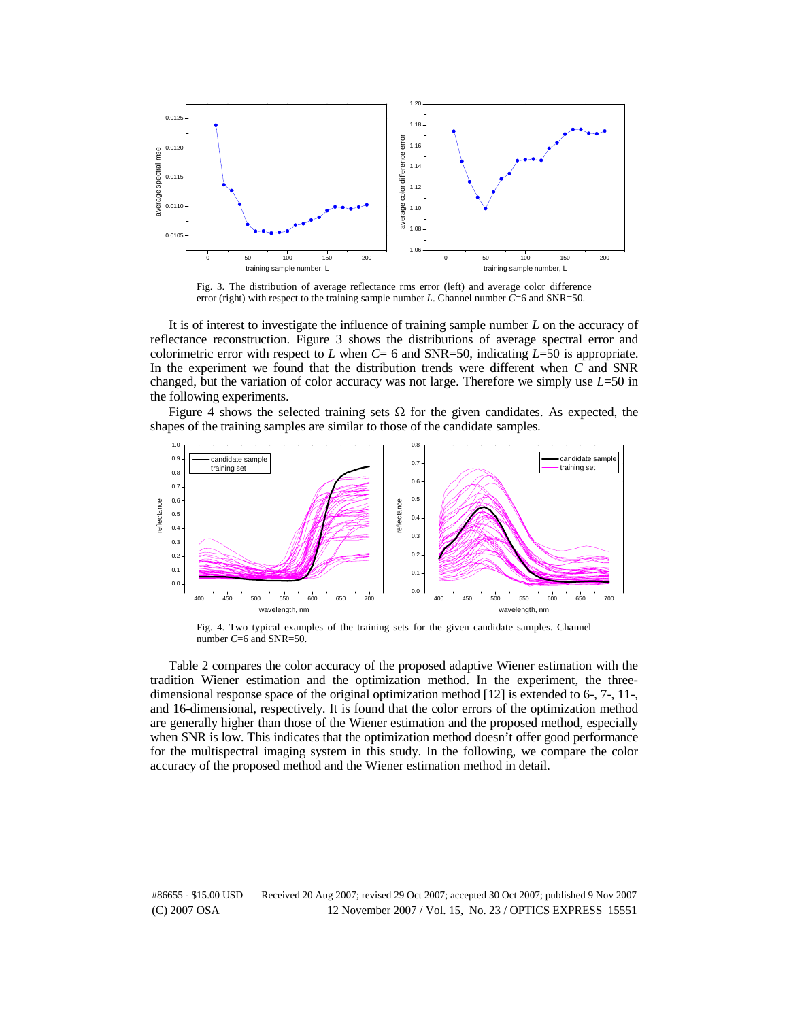

Fig. 3. The distribution of average reflectance rms error (left) and average color difference error (right) with respect to the training sample number *L*. Channel number *C*=6 and SNR=50.

It is of interest to investigate the influence of training sample number *L* on the accuracy of reflectance reconstruction. Figure 3 shows the distributions of average spectral error and colorimetric error with respect to *L* when *C*= 6 and SNR=50, indicating *L*=50 is appropriate. In the experiment we found that the distribution trends were different when *C* and SNR changed, but the variation of color accuracy was not large. Therefore we simply use *L*=50 in the following experiments.

Figure 4 shows the selected training sets  $\Omega$  for the given candidates. As expected, the shapes of the training samples are similar to those of the candidate samples.



Fig. 4. Two typical examples of the training sets for the given candidate samples. Channel number *C*=6 and SNR=50.

Table 2 compares the color accuracy of the proposed adaptive Wiener estimation with the tradition Wiener estimation and the optimization method. In the experiment, the threedimensional response space of the original optimization method [12] is extended to 6-, 7-, 11-, and 16-dimensional, respectively. It is found that the color errors of the optimization method are generally higher than those of the Wiener estimation and the proposed method, especially when SNR is low. This indicates that the optimization method doesn't offer good performance for the multispectral imaging system in this study. In the following, we compare the color accuracy of the proposed method and the Wiener estimation method in detail.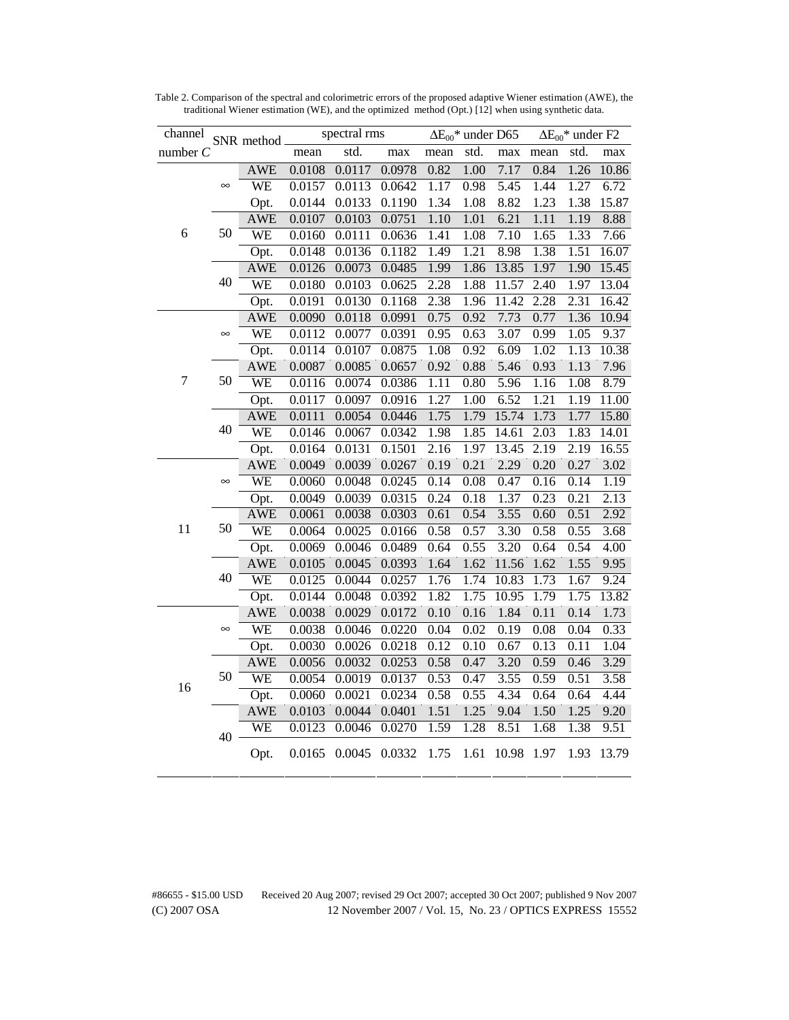| channel<br>number $C$ |          | SNR method_ | spectral rms |        |        | $\Delta E_{00}$ * under D65 |      |       | $\Delta E_{00}$ * under F2 |      |       |
|-----------------------|----------|-------------|--------------|--------|--------|-----------------------------|------|-------|----------------------------|------|-------|
|                       |          |             | mean         | std.   | max    | mean                        | std. | max   | mean                       | std. | max   |
|                       |          | <b>AWE</b>  | 0.0108       | 0.0117 | 0.0978 | 0.82                        | 1.00 | 7.17  | 0.84                       | 1.26 | 10.86 |
| 6                     | $\infty$ | WE          | 0.0157       | 0.0113 | 0.0642 | 1.17                        | 0.98 | 5.45  | 1.44                       | 1.27 | 6.72  |
|                       |          | Opt.        | 0.0144       | 0.0133 | 0.1190 | 1.34                        | 1.08 | 8.82  | 1.23                       | 1.38 | 15.87 |
|                       |          | <b>AWE</b>  | 0.0107       | 0.0103 | 0.0751 | 1.10                        | 1.01 | 6.21  | 1.11                       | 1.19 | 8.88  |
|                       | 50       | WE          | 0.0160       | 0.0111 | 0.0636 | 1.41                        | 1.08 | 7.10  | 1.65                       | 1.33 | 7.66  |
|                       |          | Opt.        | 0.0148       | 0.0136 | 0.1182 | 1.49                        | 1.21 | 8.98  | 1.38                       | 1.51 | 16.07 |
|                       |          | <b>AWE</b>  | 0.0126       | 0.0073 | 0.0485 | 1.99                        | 1.86 | 13.85 | 1.97                       | 1.90 | 15.45 |
|                       | 40       | WE          | 0.0180       | 0.0103 | 0.0625 | 2.28                        | 1.88 | 11.57 | 2.40                       | 1.97 | 13.04 |
|                       |          | Opt.        | 0.0191       | 0.0130 | 0.1168 | 2.38                        | 1.96 | 11.42 | 2.28                       | 2.31 | 16.42 |
|                       |          | <b>AWE</b>  | 0.0090       | 0.0118 | 0.0991 | 0.75                        | 0.92 | 7.73  | 0.77                       | 1.36 | 10.94 |
|                       | $\infty$ | WE          | 0.0112       | 0.0077 | 0.0391 | 0.95                        | 0.63 | 3.07  | 0.99                       | 1.05 | 9.37  |
|                       |          | Opt.        | 0.0114       | 0.0107 | 0.0875 | 1.08                        | 0.92 | 6.09  | 1.02                       | 1.13 | 10.38 |
|                       |          | <b>AWE</b>  | 0.0087       | 0.0085 | 0.0657 | 0.92                        | 0.88 | 5.46  | 0.93                       | 1.13 | 7.96  |
| 7                     | 50       | WE          | 0.0116       | 0.0074 | 0.0386 | 1.11                        | 0.80 | 5.96  | 1.16                       | 1.08 | 8.79  |
|                       |          | Opt.        | 0.0117       | 0.0097 | 0.0916 | 1.27                        | 1.00 | 6.52  | 1.21                       | 1.19 | 11.00 |
|                       |          | <b>AWE</b>  | 0.0111       | 0.0054 | 0.0446 | 1.75                        | 1.79 | 15.74 | 1.73                       | 1.77 | 15.80 |
|                       | 40       | WE          | 0.0146       | 0.0067 | 0.0342 | 1.98                        | 1.85 | 14.61 | 2.03                       | 1.83 | 14.01 |
|                       |          | Opt.        | 0.0164       | 0.0131 | 0.1501 | 2.16                        | 1.97 | 13.45 | 2.19                       | 2.19 | 16.55 |
|                       | $\infty$ | <b>AWE</b>  | 0.0049       | 0.0039 | 0.0267 | 0.19                        | 0.21 | 2.29  | 0.20                       | 0.27 | 3.02  |
|                       |          | WE          | 0.0060       | 0.0048 | 0.0245 | 0.14                        | 0.08 | 0.47  | 0.16                       | 0.14 | 1.19  |
|                       |          | Opt.        | 0.0049       | 0.0039 | 0.0315 | 0.24                        | 0.18 | 1.37  | 0.23                       | 0.21 | 2.13  |
|                       | 50       | <b>AWE</b>  | 0.0061       | 0.0038 | 0.0303 | 0.61                        | 0.54 | 3.55  | 0.60                       | 0.51 | 2.92  |
| 11                    |          | WE          | 0.0064       | 0.0025 | 0.0166 | 0.58                        | 0.57 | 3.30  | 0.58                       | 0.55 | 3.68  |
|                       |          | Opt.        | 0.0069       | 0.0046 | 0.0489 | 0.64                        | 0.55 | 3.20  | 0.64                       | 0.54 | 4.00  |
|                       | 40       | <b>AWE</b>  | 0.0105       | 0.0045 | 0.0393 | 1.64                        | 1.62 | 11.56 | 1.62                       | 1.55 | 9.95  |
|                       |          | WE          | 0.0125       | 0.0044 | 0.0257 | 1.76                        | 1.74 | 10.83 | 1.73                       | 1.67 | 9.24  |
|                       |          | Opt.        | 0.0144       | 0.0048 | 0.0392 | 1.82                        | 1.75 | 10.95 | 1.79                       | 1.75 | 13.82 |
|                       |          | <b>AWE</b>  | 0.0038       | 0.0029 | 0.0172 | 0.10                        | 0.16 | 1.84  | 0.11                       | 0.14 | 1.73  |
| 16                    | $\infty$ | WE          | 0.0038       | 0.0046 | 0.0220 | 0.04                        | 0.02 | 0.19  | 0.08                       | 0.04 | 0.33  |
|                       |          | Opt.        | 0.0030       | 0.0026 | 0.0218 | 0.12                        | 0.10 | 0.67  | 0.13                       | 0.11 | 1.04  |
|                       | 50       | <b>AWE</b>  | 0.0056       | 0.0032 | 0.0253 | 0.58                        | 0.47 | 3.20  | 0.59                       | 0.46 | 3.29  |
|                       |          | WE          | 0.0054       | 0.0019 | 0.0137 | 0.53                        | 0.47 | 3.55  | 0.59                       | 0.51 | 3.58  |
|                       |          | Opt.        | 0.0060       | 0.0021 | 0.0234 | 0.58                        | 0.55 | 4.34  | 0.64                       | 0.64 | 4.44  |
|                       |          | <b>AWE</b>  | 0.0103       | 0.0044 | 0.0401 | 1.51                        | 1.25 | 9.04  | 1.50                       | 1.25 | 9.20  |
|                       | 40       | WE          | 0.0123       | 0.0046 | 0.0270 | 1.59                        | 1.28 | 8.51  | 1.68                       | 1.38 | 9.51  |
|                       |          | Opt.        | 0.0165       | 0.0045 | 0.0332 | 1.75                        | 1.61 | 10.98 | 1.97                       | 1.93 | 13.79 |

Table 2. Comparison of the spectral and colorimetric errors of the proposed adaptive Wiener estimation (AWE), the traditional Wiener estimation (WE), and the optimized method (Opt.) [12] when using synthetic data.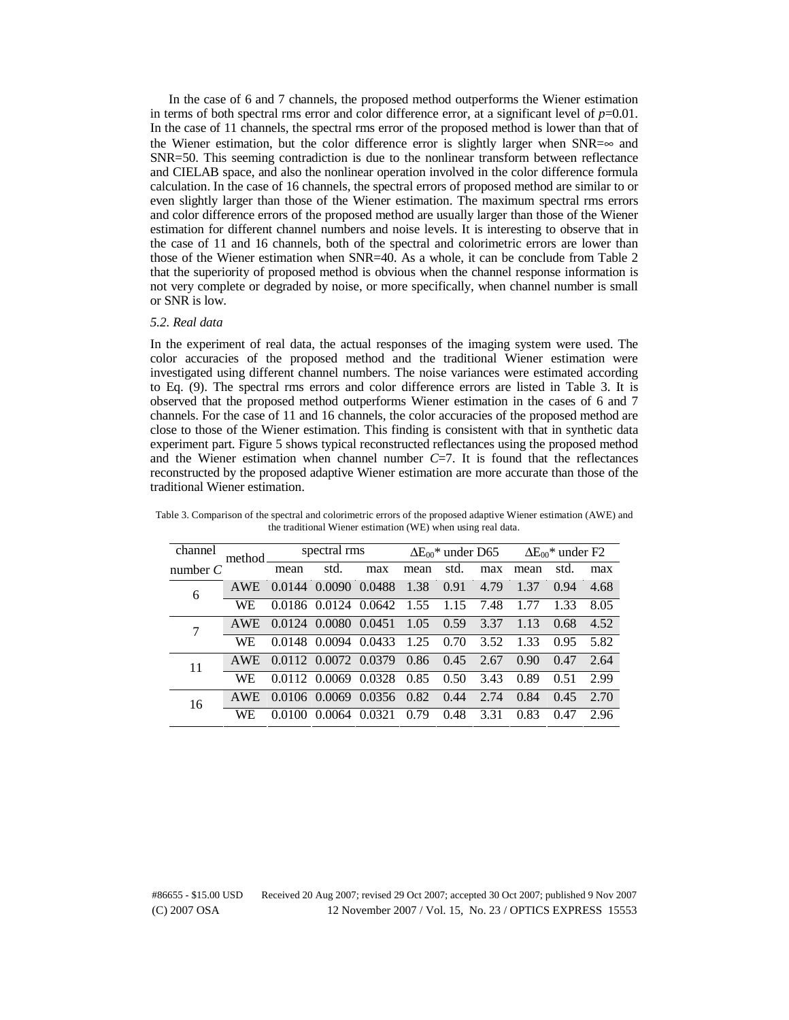In the case of 6 and 7 channels, the proposed method outperforms the Wiener estimation in terms of both spectral rms error and color difference error, at a significant level of  $p=0.01$ . In the case of 11 channels, the spectral rms error of the proposed method is lower than that of the Wiener estimation, but the color difference error is slightly larger when  $SNR=\infty$  and SNR=50. This seeming contradiction is due to the nonlinear transform between reflectance and CIELAB space, and also the nonlinear operation involved in the color difference formula calculation. In the case of 16 channels, the spectral errors of proposed method are similar to or even slightly larger than those of the Wiener estimation. The maximum spectral rms errors and color difference errors of the proposed method are usually larger than those of the Wiener estimation for different channel numbers and noise levels. It is interesting to observe that in the case of 11 and 16 channels, both of the spectral and colorimetric errors are lower than those of the Wiener estimation when SNR=40. As a whole, it can be conclude from Table 2 that the superiority of proposed method is obvious when the channel response information is not very complete or degraded by noise, or more specifically, when channel number is small or SNR is low.

#### *5.2. Real data*

In the experiment of real data, the actual responses of the imaging system were used. The color accuracies of the proposed method and the traditional Wiener estimation were investigated using different channel numbers. The noise variances were estimated according to Eq. (9). The spectral rms errors and color difference errors are listed in Table 3. It is observed that the proposed method outperforms Wiener estimation in the cases of 6 and 7 channels. For the case of 11 and 16 channels, the color accuracies of the proposed method are close to those of the Wiener estimation. This finding is consistent with that in synthetic data experiment part. Figure 5 shows typical reconstructed reflectances using the proposed method and the Wiener estimation when channel number  $C=7$ . It is found that the reflectances reconstructed by the proposed adaptive Wiener estimation are more accurate than those of the traditional Wiener estimation.

| channel    | method.      |      | spectral rms                                                 |     |      |      | $\Delta E_{00}$ * under D65 $\Delta E_{00}$ * under F2 |                 |           |      |
|------------|--------------|------|--------------------------------------------------------------|-----|------|------|--------------------------------------------------------|-----------------|-----------|------|
| number $C$ |              | mean | std.                                                         | max | mean | std. | max                                                    | mean            | std.      | max  |
| 6          | AWE          |      | 0.0144 0.0090 0.0488 1.38 0.91 4.79                          |     |      |      |                                                        | 1.37            | 0.94      | 4.68 |
|            | WE           |      | 0.0186 0.0124 0.0642 1.55 1.15 7.48 1.77                     |     |      |      |                                                        |                 | 1.33      | 8.05 |
|            | AWE.         |      | $0.0124$ $0.0080$ $0.0451$ $1.05$ $0.59$ $3.37$ $1.13$       |     |      |      |                                                        |                 | 0.68      | 4.52 |
|            | WE           |      | 0.0148 0.0094 0.0433 1.25 0.70 3.52 1.33                     |     |      |      |                                                        |                 | 0.95 5.82 |      |
| 11         |              |      | AWE 0.0112 0.0072 0.0379 0.86 0.45 2.67                      |     |      |      |                                                        | $0.90 \pm 0.47$ |           | 2.64 |
|            | WE.          |      | 0.0112 0.0069 0.0328 0.85 0.50 3.43 0.89                     |     |      |      |                                                        |                 | 0.51      | 2.99 |
| 16         | AWE.         |      | $0.0106$ $0.0069$ $0.0356$ $0.82$ $0.44$ 2.74 $0.84$         |     |      |      |                                                        |                 | 0.45      | 2.70 |
|            | <b>*****</b> |      | $0.0100, 0.0051, 0.0001, 0.70, 0.10, 0.01, 0.02, 0.17, 0.05$ |     |      |      |                                                        |                 |           |      |

WE 0.0100 0.0064 0.0321 0.79 0.48 3.31 0.83 0.47 2.96

Table 3. Comparison of the spectral and colorimetric errors of the proposed adaptive Wiener estimation (AWE) and the traditional Wiener estimation (WE) when using real data.